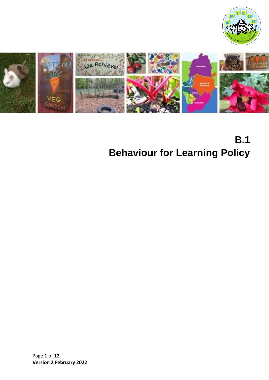



# **B.1 Behaviour for Learning Policy**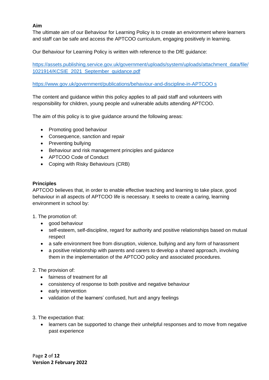# **Aim**

The ultimate aim of our Behaviour for Learning Policy is to create an environment where learners and staff can be safe and access the APTCOO curriculum, engaging positively in learning.

Our Behaviour for Learning Policy is written with reference to the DfE guidance:

[https://assets.publishing.service.gov.uk/government/uploads/system/uploads/attachment\\_data/file/](https://assets.publishing.service.gov.uk/government/uploads/system/uploads/attachment_data/file/1021914/KCSIE_2021_September_guidance.pdf) [1021914/KCSIE\\_2021\\_September\\_guidance.pdf](https://assets.publishing.service.gov.uk/government/uploads/system/uploads/attachment_data/file/1021914/KCSIE_2021_September_guidance.pdf)

[https://www.gov.uk/government/publications/behaviour-and-discipline-in-APTCOO s](https://www.gov.uk/government/publications/behaviour-and-discipline-in-APTCOO%20s) 

The content and guidance within this policy applies to all paid staff and volunteers with responsibility for children, young people and vulnerable adults attending APTCOO.

The aim of this policy is to give guidance around the following areas:

- Promoting good behaviour
- Consequence, sanction and repair
- Preventing bullying
- Behaviour and risk management principles and guidance
- APTCOO Code of Conduct
- Coping with Risky Behaviours (CRB)

#### **Principles**

APTCOO believes that, in order to enable effective teaching and learning to take place, good behaviour in all aspects of APTCOO life is necessary. It seeks to create a caring, learning environment in school by:

- 1. The promotion of:
	- good behaviour
	- self-esteem, self-discipline, regard for authority and positive relationships based on mutual respect
	- a safe environment free from disruption, violence, bullying and any form of harassment
	- a positive relationship with parents and carers to develop a shared approach, involving them in the implementation of the APTCOO policy and associated procedures.
- 2. The provision of:
	- fairness of treatment for all
	- consistency of response to both positive and negative behaviour
	- early intervention
	- validation of the learners' confused, hurt and angry feelings
- 3. The expectation that:
	- learners can be supported to change their unhelpful responses and to move from negative past experience

Page **2** of **12 Version 2 February 2022**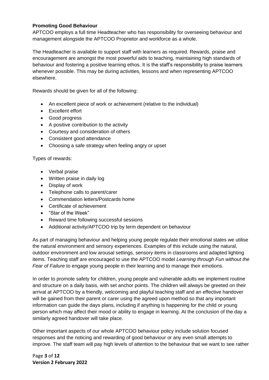## **Promoting Good Behaviour**

APTCOO employs a full time Headteacher who has responsibility for overseeing behaviour and management alongside the APTCOO Proprietor and workforce as a whole.

The Headteacher is available to support staff with learners as required. Rewards, praise and encouragement are amongst the most powerful aids to teaching, maintaining high standards of behaviour and fostering a positive learning ethos. It is the staff's responsibility to praise learners whenever possible. This may be during activities, lessons and when representing APTCOO elsewhere.

Rewards should be given for all of the following:

- An excellent piece of work or achievement (relative to the individual)
- Excellent effort
- Good progress
- A positive contribution to the activity
- Courtesy and consideration of others
- Consistent good attendance
- Choosing a safe strategy when feeling angry or upset

Types of rewards:

- Verbal praise
- Written praise in daily log
- Display of work
- Telephone calls to parent/carer
- Commendation letters/Postcards home
- Certificate of achievement
- "Star of the Week"
- Reward time following successful sessions
- Additional activity/APTCOO trip by term dependent on behaviour

As part of managing behaviour and helping young people regulate their emotional states we utilise the natural environment and sensory experiences. Examples of this include using the natural, outdoor environment and low arousal settings, sensory items in classrooms and adapted lighting items. Teaching staff are encouraged to use the APTCOO model *Learning through Fun without the Fear of Failure* to engage young people in their learning and to manage their emotions.

In order to promote safety for children, young people and vulnerable adults we implement routine and structure on a daily basis, with set anchor points. The children will always be greeted on their arrival at APTCOO by a friendly, welcoming and playful teaching staff and an effective handover will be gained from their parent or carer using the agreed upon method so that any important information can guide the days plans, including if anything is happening for the child or young person which may affect their mood or ability to engage in learning. At the conclusion of the day a similarly agreed handover will take place.

Other important aspects of our whole APTCOO behaviour policy include solution focused responses and the noticing and rewarding of good behaviour or any even small attempts to improve. The staff team will pay high levels of attention to the behaviour that we want to see rather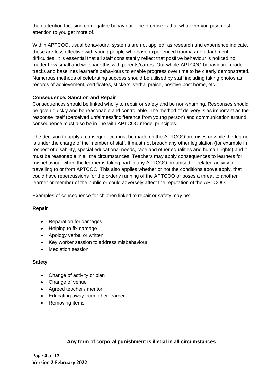than attention focusing on negative behaviour. The premise is that whatever you pay most attention to you get more of.

Within APTCOO, usual behavioural systems are not applied, as research and experience indicate, these are less effective with young people who have experienced trauma and attachment difficulties. It is essential that all staff consistently reflect that positive behaviour is noticed no matter how small and we share this with parents/carers. Our whole APTCOO behavioural model tracks and baselines learner's behaviours to enable progress over time to be clearly demonstrated. Numerous methods of celebrating success should be utilised by staff including taking photos as records of achievement, certificates, stickers, verbal praise, positive post home, etc.

# **Consequence, Sanction and Repair**

Consequences should be linked wholly to repair or safety and be non-shaming. Responses should be given quickly and be reasonable and controllable. The method of delivery is as important as the response itself (perceived unfairness/indifference from young person) and communication around consequence must also be in line with APTCOO model principles.

The decision to apply a consequence must be made on the APTCOO premises or while the learner is under the charge of the member of staff. It must not breach any other legislation (for example in respect of disability, special educational needs, race and other equalities and human rights) and it must be reasonable in all the circumstances. Teachers may apply consequences to learners for misbehaviour when the learner is taking part in any APTCOO organised or related activity or travelling to or from APTCOO. This also applies whether or not the conditions above apply, that could have repercussions for the orderly running of the APTCOO or poses a threat to another learner or member of the public or could adversely affect the reputation of the APTCOO.

Examples of consequence for children linked to repair or safety may be:

# **Repair**

- Reparation for damages
- Helping to fix damage
- Apology verbal or written
- Key worker session to address misbehaviour
- Mediation session

#### **Safety**

- Change of activity or plan
- Change of venue
- Agreed teacher / mentor
- Educating away from other learners
- Removing items

# **Any form of corporal punishment is illegal in all circumstances**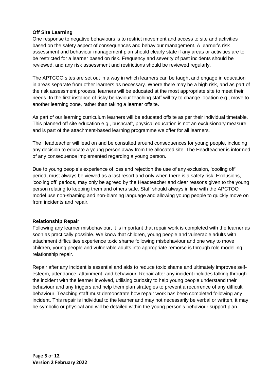# **Off Site Learning**

One response to negative behaviours is to restrict movement and access to site and activities based on the safety aspect of consequences and behaviour management. A learner's risk assessment and behaviour management plan should clearly state if any areas or activities are to be restricted for a learner based on risk. Frequency and severity of past incidents should be reviewed, and any risk assessment and restrictions should be reviewed regularly.

The APTCOO sites are set out in a way in which learners can be taught and engage in education in areas separate from other learners as necessary. Where there may be a high risk, and as part of the risk assessment process, learners will be educated at the most appropriate site to meet their needs. In the first instance of risky behaviour teaching staff will try to change location e.g., move to another learning zone, rather than taking a learner offsite.

As part of our learning curriculum learners will be educated offsite as per their individual timetable. This planned off site education e.g., bushcraft, physical education is not an exclusionary measure and is part of the attachment-based learning programme we offer for all learners.

The Headteacher will lead on and be consulted around consequences for young people, including any decision to educate a young person away from the allocated site. The Headteacher is informed of any consequence implemented regarding a young person.

Due to young people's experience of loss and rejection the use of any exclusion, 'cooling off' period, must always be viewed as a last resort and only when there is a safety risk. Exclusions, 'cooling off' periods, may only be agreed by the Headteacher and clear reasons given to the young person relating to keeping them and others safe. Staff should always in line with the APCTOO model use non-shaming and non-blaming language and allowing young people to quickly move on from incidents and repair.

#### **Relationship Repair**

Following any learner misbehaviour, it is important that repair work is completed with the learner as soon as practically possible. We know that children, young people and vulnerable adults with attachment difficulties experience toxic shame following misbehaviour and one way to move children, young people and vulnerable adults into appropriate remorse is through role modelling relationship repair.

Repair after any incident is essential and aids to reduce toxic shame and ultimately improves selfesteem, attendance, attainment, and behaviour. Repair after any incident includes talking through the incident with the learner involved, utilising curiosity to help young people understand their behaviour and any triggers and help them plan strategies to prevent a recurrence of any difficult behaviour. Teaching staff must demonstrate how repair work has been completed following any incident. This repair is individual to the learner and may not necessarily be verbal or written, it may be symbolic or physical and will be detailed within the young person's behaviour support plan.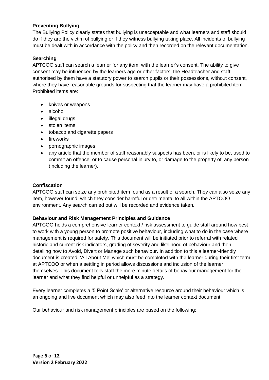# **Preventing Bullying**

The Bullying Policy clearly states that bullying is unacceptable and what learners and staff should do if they are the victim of bullying or if they witness bullying taking place. All incidents of bullying must be dealt with in accordance with the policy and then recorded on the relevant documentation.

## **Searching**

APTCOO staff can search a learner for any item, with the learner's consent. The ability to give consent may be influenced by the learners age or other factors; the Headteacher and staff authorised by them have a statutory power to search pupils or their possessions, without consent, where they have reasonable grounds for suspecting that the learner may have a prohibited item. Prohibited items are:

- knives or weapons
- alcohol
- illegal drugs
- stolen items
- tobacco and cigarette papers
- fireworks
- pornographic images
- any article that the member of staff reasonably suspects has been, or is likely to be, used to commit an offence, or to cause personal injury to, or damage to the property of, any person (including the learner).

#### **Confiscation**

APTCOO staff can seize any prohibited item found as a result of a search. They can also seize any item, however found, which they consider harmful or detrimental to all within the APTCOO environment. Any search carried out will be recorded and evidence taken.

#### **Behaviour and Risk Management Principles and Guidance**

APTCOO holds a comprehensive learner context / risk assessment to guide staff around how best to work with a young person to promote positive behaviour, including what to do in the case where management is required for safety. This document will be initiated prior to referral with related historic and current risk indicators, grading of severity and likelihood of behaviour and then detailing how to Avoid, Divert or Manage such behaviour. In addition to this a learner-friendly document is created, 'All About Me' which must be completed with the learner during their first term at APTCOO or when a settling in period allows discussions and inclusion of the learner themselves. This document tells staff the more minute details of behaviour management for the learner and what they find helpful or unhelpful as a strategy.

Every learner completes a '5 Point Scale' or alternative resource around their behaviour which is an ongoing and live document which may also feed into the learner context document.

Our behaviour and risk management principles are based on the following: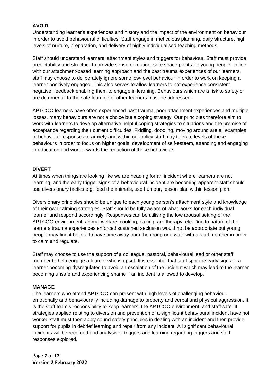# **AVOID**

Understanding learner's experiences and history and the impact of the environment on behaviour in order to avoid behavioural difficulties. Staff engage in meticulous planning, daily structure, high levels of nurture, preparation, and delivery of highly individualised teaching methods.

Staff should understand learners' attachment styles and triggers for behaviour. Staff must provide predictability and structure to provide sense of routine, safe space points for young people. In line with our attachment-based learning approach and the past trauma experiences of our learners, staff may choose to deliberately ignore some low-level behaviour in order to work on keeping a learner positively engaged. This also serves to allow learners to not experience consistent negative, feedback enabling them to engage in learning. Behaviours which are a risk to safety or are detrimental to the safe learning of other learners must be addressed.

APTCOO learners have often experienced past trauma, poor attachment experiences and multiple losses, many behaviours are not a choice but a coping strategy. Our principles therefore aim to work with learners to develop alternative helpful coping strategies to situations and the premise of acceptance regarding their current difficulties. Fiddling, doodling, moving around are all examples of behaviour responses to anxiety and within our policy staff may tolerate levels of these behaviours in order to focus on higher goals, development of self-esteem, attending and engaging in education and work towards the reduction of these behaviours.

#### **DIVERT**

At times when things are looking like we are heading for an incident where learners are not learning, and the early trigger signs of a behavioural incident are becoming apparent staff should use diversionary tactics e.g. feed the animals, use humour, lesson plan within lesson plan.

Diversionary principles should be unique to each young person's attachment style and knowledge of their own calming strategies. Staff should be fully aware of what works for each individual learner and respond accordingly. Responses can be utilising the low arousal setting of the APTCOO environment, animal welfare, cooking, baking, are therapy, etc. Due to nature of the learners trauma experiences enforced sustained seclusion would not be appropriate but young people may find it helpful to have time away from the group or a walk with a staff member in order to calm and regulate.

Staff may choose to use the support of a colleague, pastoral, behavioural lead or other staff member to help engage a learner who is upset. It is essential that staff spot the early signs of a learner becoming dysregulated to avoid an escalation of the incident which may lead to the learner becoming unsafe and experiencing shame if an incident is allowed to develop.

#### **MANAGE**

The learners who attend APTCOO can present with high levels of challenging behaviour, emotionally and behaviourally including damage to property and verbal and physical aggression. It is the staff team's responsibility to keep learners, the APTCOO environment, and staff safe. If strategies applied relating to diversion and prevention of a significant behavioural incident have not worked staff must then apply sound safety principles in dealing with an incident and then provide support for pupils in debrief learning and repair from any incident. All significant behavioural incidents will be recorded and analysis of triggers and learning regarding triggers and staff responses explored.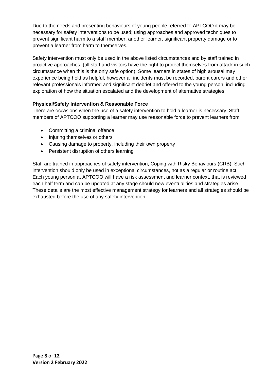Due to the needs and presenting behaviours of young people referred to APTCOO it may be necessary for safety interventions to be used; using approaches and approved techniques to prevent significant harm to a staff member, another learner, significant property damage or to prevent a learner from harm to themselves.

Safety intervention must only be used in the above listed circumstances and by staff trained in proactive approaches, (all staff and visitors have the right to protect themselves from attack in such circumstance when this is the only safe option). Some learners in states of high arousal may experience being held as helpful, however all incidents must be recorded, parent carers and other relevant professionals informed and significant debrief and offered to the young person, including exploration of how the situation escalated and the development of alternative strategies.

# **Physical/Safety Intervention & Reasonable Force**

There are occasions when the use of a safety intervention to hold a learner is necessary. Staff members of APTCOO supporting a learner may use reasonable force to prevent learners from:

- Committing a criminal offence
- Injuring themselves or others
- Causing damage to property, including their own property
- Persistent disruption of others learning

Staff are trained in approaches of safety intervention, Coping with Risky Behaviours (CRB). Such intervention should only be used in exceptional circumstances, not as a regular or routine act. Each young person at APTCOO will have a risk assessment and learner context, that is reviewed each half term and can be updated at any stage should new eventualities and strategies arise. These details are the most effective management strategy for learners and all strategies should be exhausted before the use of any safety intervention.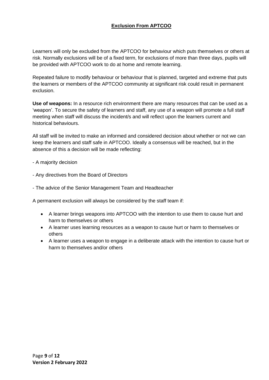# **Exclusion From APTCOO**

Learners will only be excluded from the APTCOO for behaviour which puts themselves or others at risk. Normally exclusions will be of a fixed term, for exclusions of more than three days, pupils will be provided with APTCOO work to do at home and remote learning.

Repeated failure to modify behaviour or behaviour that is planned, targeted and extreme that puts the learners or members of the APTCOO community at significant risk could result in permanent exclusion.

**Use of weapons:** In a resource rich environment there are many resources that can be used as a 'weapon'. To secure the safety of learners and staff, any use of a weapon will promote a full staff meeting when staff will discuss the incident/s and will reflect upon the learners current and historical behaviours.

All staff will be invited to make an informed and considered decision about whether or not we can keep the learners and staff safe in APTCOO. Ideally a consensus will be reached, but in the absence of this a decision will be made reflecting:

- A majority decision
- Any directives from the Board of Directors
- The advice of the Senior Management Team and Headteacher

A permanent exclusion will always be considered by the staff team if:

- A learner brings weapons into APTCOO with the intention to use them to cause hurt and harm to themselves or others
- A learner uses learning resources as a weapon to cause hurt or harm to themselves or others
- A learner uses a weapon to engage in a deliberate attack with the intention to cause hurt or harm to themselves and/or others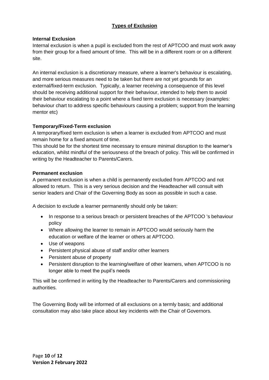# **Types of Exclusion**

## **Internal Exclusion**

Internal exclusion is when a pupil is excluded from the rest of APTCOO and must work away from their group for a fixed amount of time. This will be in a different room or on a different site.

An internal exclusion is a discretionary measure, where a learner's behaviour is escalating, and more serious measures need to be taken but there are not yet grounds for an external/fixed-term exclusion. Typically, a learner receiving a consequence of this level should be receiving additional support for their behaviour, intended to help them to avoid their behaviour escalating to a point where a fixed term exclusion is necessary (examples: behaviour chart to address specific behaviours causing a problem; support from the learning mentor etc)

## **Temporary/Fixed-Term exclusion**

A temporary/fixed term exclusion is when a learner is excluded from APTCOO and must remain home for a fixed amount of time.

This should be for the shortest time necessary to ensure minimal disruption to the learner's education, whilst mindful of the seriousness of the breach of policy. This will be confirmed in writing by the Headteacher to Parents/Carers.

## **Permanent exclusion**

A permanent exclusion is when a child is permanently excluded from APTCOO and not allowed to return. This is a very serious decision and the Headteacher will consult with senior leaders and Chair of the Governing Body as soon as possible in such a case.

A decision to exclude a learner permanently should only be taken:

- In response to a serious breach or persistent breaches of the APTCOO 's behaviour policy
- Where allowing the learner to remain in APTCOO would seriously harm the education or welfare of the learner or others at APTCOO.
- Use of weapons
- Persistent physical abuse of staff and/or other learners
- Persistent abuse of property
- Persistent disruption to the learning/welfare of other learners, when APTCOO is no longer able to meet the pupil's needs

This will be confirmed in writing by the Headteacher to Parents/Carers and commissioning authorities.

The Governing Body will be informed of all exclusions on a termly basis; and additional consultation may also take place about key incidents with the Chair of Governors.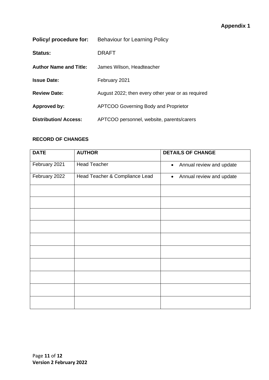| Policy/ procedure for:        | <b>Behaviour for Learning Policy</b>              |
|-------------------------------|---------------------------------------------------|
| <b>Status:</b>                | DRAFT                                             |
| <b>Author Name and Title:</b> | James Wilson, Headteacher                         |
| <b>Issue Date:</b>            | February 2021                                     |
| <b>Review Date:</b>           | August 2022; then every other year or as required |
| <b>Approved by:</b>           | <b>APTCOO Governing Body and Proprietor</b>       |
| <b>Distribution/Access:</b>   | APTCOO personnel, website, parents/carers         |

# **RECORD OF CHANGES**

| <b>AUTHOR</b>                  | <b>DETAILS OF CHANGE</b>              |
|--------------------------------|---------------------------------------|
| <b>Head Teacher</b>            | Annual review and update<br>$\bullet$ |
| Head Teacher & Compliance Lead | Annual review and update<br>$\bullet$ |
|                                |                                       |
|                                |                                       |
|                                |                                       |
|                                |                                       |
|                                |                                       |
|                                |                                       |
|                                |                                       |
|                                |                                       |
|                                |                                       |
|                                |                                       |
|                                |                                       |